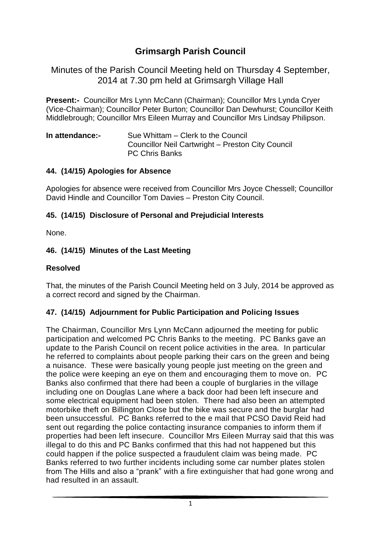# **Grimsargh Parish Council**

Minutes of the Parish Council Meeting held on Thursday 4 September, 2014 at 7.30 pm held at Grimsargh Village Hall

**Present:-** Councillor Mrs Lynn McCann (Chairman); Councillor Mrs Lynda Cryer (Vice-Chairman); Councillor Peter Burton; Councillor Dan Dewhurst; Councillor Keith Middlebrough; Councillor Mrs Eileen Murray and Councillor Mrs Lindsay Philipson.

**In attendance:-** Sue Whittam – Clerk to the Council Councillor Neil Cartwright – Preston City Council PC Chris Banks

#### **44. (14/15) Apologies for Absence**

Apologies for absence were received from Councillor Mrs Joyce Chessell; Councillor David Hindle and Councillor Tom Davies – Preston City Council.

#### **45. (14/15) Disclosure of Personal and Prejudicial Interests**

None.

#### **46. (14/15) Minutes of the Last Meeting**

#### **Resolved**

That, the minutes of the Parish Council Meeting held on 3 July, 2014 be approved as a correct record and signed by the Chairman.

#### **47. (14/15) Adjournment for Public Participation and Policing Issues**

The Chairman, Councillor Mrs Lynn McCann adjourned the meeting for public participation and welcomed PC Chris Banks to the meeting. PC Banks gave an update to the Parish Council on recent police activities in the area. In particular he referred to complaints about people parking their cars on the green and being a nuisance. These were basically young people just meeting on the green and the police were keeping an eye on them and encouraging them to move on. PC Banks also confirmed that there had been a couple of burglaries in the village including one on Douglas Lane where a back door had been left insecure and some electrical equipment had been stolen. There had also been an attempted motorbike theft on Billington Close but the bike was secure and the burglar had been unsuccessful. PC Banks referred to the e mail that PCSO David Reid had sent out regarding the police contacting insurance companies to inform them if properties had been left insecure. Councillor Mrs Eileen Murray said that this was illegal to do this and PC Banks confirmed that this had not happened but this could happen if the police suspected a fraudulent claim was being made. PC Banks referred to two further incidents including some car number plates stolen from The Hills and also a "prank" with a fire extinguisher that had gone wrong and had resulted in an assault.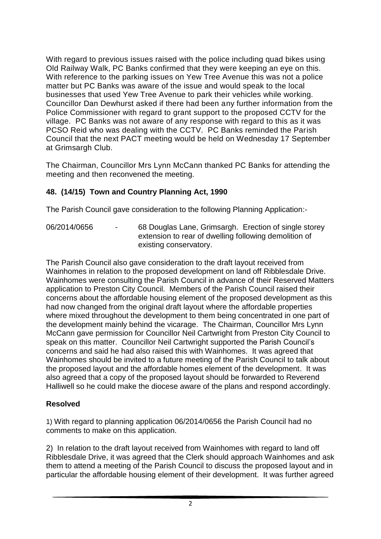With regard to previous issues raised with the police including quad bikes using Old Railway Walk, PC Banks confirmed that they were keeping an eye on this. With reference to the parking issues on Yew Tree Avenue this was not a police matter but PC Banks was aware of the issue and would speak to the local businesses that used Yew Tree Avenue to park their vehicles while working. Councillor Dan Dewhurst asked if there had been any further information from the Police Commissioner with regard to grant support to the proposed CCTV for the village. PC Banks was not aware of any response with regard to this as it was PCSO Reid who was dealing with the CCTV. PC Banks reminded the Parish Council that the next PACT meeting would be held on Wednesday 17 September at Grimsargh Club.

The Chairman, Councillor Mrs Lynn McCann thanked PC Banks for attending the meeting and then reconvened the meeting.

### **48. (14/15) Town and Country Planning Act, 1990**

The Parish Council gave consideration to the following Planning Application:-

06/2014/0656 - 68 Douglas Lane, Grimsargh. Erection of single storey extension to rear of dwelling following demolition of existing conservatory.

The Parish Council also gave consideration to the draft layout received from Wainhomes in relation to the proposed development on land off Ribblesdale Drive. Wainhomes were consulting the Parish Council in advance of their Reserved Matters application to Preston City Council. Members of the Parish Council raised their concerns about the affordable housing element of the proposed development as this had now changed from the original draft layout where the affordable properties where mixed throughout the development to them being concentrated in one part of the development mainly behind the vicarage. The Chairman, Councillor Mrs Lynn McCann gave permission for Councillor Neil Cartwright from Preston City Council to speak on this matter. Councillor Neil Cartwright supported the Parish Council's concerns and said he had also raised this with Wainhomes. It was agreed that Wainhomes should be invited to a future meeting of the Parish Council to talk about the proposed layout and the affordable homes element of the development. It was also agreed that a copy of the proposed layout should be forwarded to Reverend Halliwell so he could make the diocese aware of the plans and respond accordingly.

#### **Resolved**

1) With regard to planning application 06/2014/0656 the Parish Council had no comments to make on this application.

2) In relation to the draft layout received from Wainhomes with regard to land off Ribblesdale Drive, it was agreed that the Clerk should approach Wainhomes and ask them to attend a meeting of the Parish Council to discuss the proposed layout and in particular the affordable housing element of their development. It was further agreed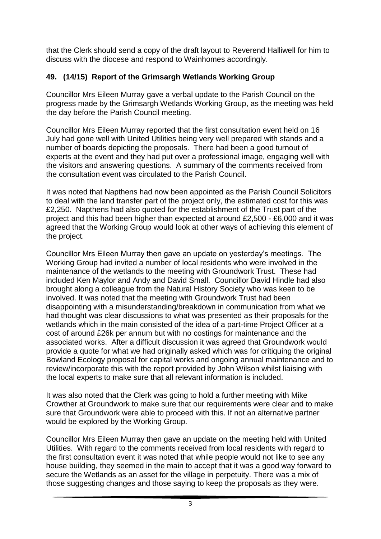that the Clerk should send a copy of the draft layout to Reverend Halliwell for him to discuss with the diocese and respond to Wainhomes accordingly.

### **49. (14/15) Report of the Grimsargh Wetlands Working Group**

Councillor Mrs Eileen Murray gave a verbal update to the Parish Council on the progress made by the Grimsargh Wetlands Working Group, as the meeting was held the day before the Parish Council meeting.

Councillor Mrs Eileen Murray reported that the first consultation event held on 16 July had gone well with United Utilities being very well prepared with stands and a number of boards depicting the proposals. There had been a good turnout of experts at the event and they had put over a professional image, engaging well with the visitors and answering questions. A summary of the comments received from the consultation event was circulated to the Parish Council.

It was noted that Napthens had now been appointed as the Parish Council Solicitors to deal with the land transfer part of the project only, the estimated cost for this was £2,250. Napthens had also quoted for the establishment of the Trust part of the project and this had been higher than expected at around £2,500 - £6,000 and it was agreed that the Working Group would look at other ways of achieving this element of the project.

Councillor Mrs Eileen Murray then gave an update on yesterday's meetings. The Working Group had invited a number of local residents who were involved in the maintenance of the wetlands to the meeting with Groundwork Trust. These had included Ken Maylor and Andy and David Small. Councillor David Hindle had also brought along a colleague from the Natural History Society who was keen to be involved. It was noted that the meeting with Groundwork Trust had been disappointing with a misunderstanding/breakdown in communication from what we had thought was clear discussions to what was presented as their proposals for the wetlands which in the main consisted of the idea of a part-time Project Officer at a cost of around £26k per annum but with no costings for maintenance and the associated works. After a difficult discussion it was agreed that Groundwork would provide a quote for what we had originally asked which was for critiquing the original Bowland Ecology proposal for capital works and ongoing annual maintenance and to review/incorporate this with the report provided by John Wilson whilst liaising with the local experts to make sure that all relevant information is included.

It was also noted that the Clerk was going to hold a further meeting with Mike Crowther at Groundwork to make sure that our requirements were clear and to make sure that Groundwork were able to proceed with this. If not an alternative partner would be explored by the Working Group.

Councillor Mrs Eileen Murray then gave an update on the meeting held with United Utilities. With regard to the comments received from local residents with regard to the first consultation event it was noted that while people would not like to see any house building, they seemed in the main to accept that it was a good way forward to secure the Wetlands as an asset for the village in perpetuity. There was a mix of those suggesting changes and those saying to keep the proposals as they were.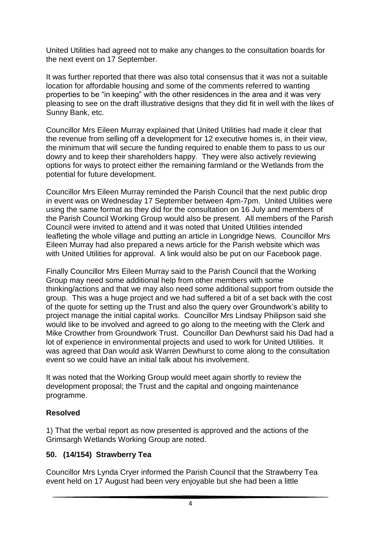United Utilities had agreed not to make any changes to the consultation boards for the next event on 17 September.

It was further reported that there was also total consensus that it was not a suitable location for affordable housing and some of the comments referred to wanting properties to be "in keeping" with the other residences in the area and it was very pleasing to see on the draft illustrative designs that they did fit in well with the likes of Sunny Bank, etc.

Councillor Mrs Eileen Murray explained that United Utilities had made it clear that the revenue from selling off a development for 12 executive homes is, in their view, the minimum that will secure the funding required to enable them to pass to us our dowry and to keep their shareholders happy. They were also actively reviewing options for ways to protect either the remaining farmland or the Wetlands from the potential for future development.

Councillor Mrs Eileen Murray reminded the Parish Council that the next public drop in event was on Wednesday 17 September between 4pm-7pm. United Utilities were using the same format as they did for the consultation on 16 July and members of the Parish Council Working Group would also be present. All members of the Parish Council were invited to attend and it was noted that United Utilities intended leafleting the whole village and putting an article in Longridge News. Councillor Mrs Eileen Murray had also prepared a news article for the Parish website which was with United Utilities for approval. A link would also be put on our Facebook page.

Finally Councillor Mrs Eileen Murray said to the Parish Council that the Working Group may need some additional help from other members with some thinking/actions and that we may also need some additional support from outside the group. This was a huge project and we had suffered a bit of a set back with the cost of the quote for setting up the Trust and also the query over Groundwork's ability to project manage the initial capital works. Councillor Mrs Lindsay Philipson said she would like to be involved and agreed to go along to the meeting with the Clerk and Mike Crowther from Groundwork Trust. Councillor Dan Dewhurst said his Dad had a lot of experience in environmental projects and used to work for United Utilities. It was agreed that Dan would ask Warren Dewhurst to come along to the consultation event so we could have an initial talk about his involvement.

It was noted that the Working Group would meet again shortly to review the development proposal; the Trust and the capital and ongoing maintenance programme.

#### **Resolved**

1) That the verbal report as now presented is approved and the actions of the Grimsargh Wetlands Working Group are noted.

# **50. (14/154) Strawberry Tea**

Councillor Mrs Lynda Cryer informed the Parish Council that the Strawberry Tea event held on 17 August had been very enjoyable but she had been a little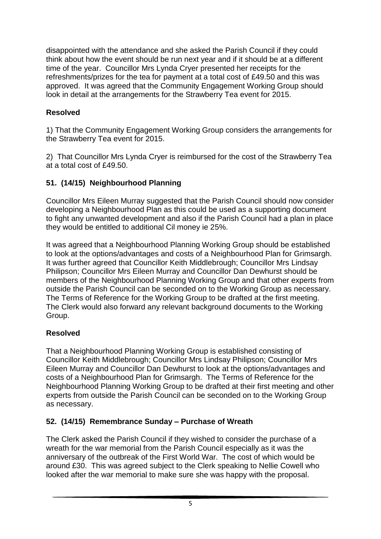disappointed with the attendance and she asked the Parish Council if they could think about how the event should be run next year and if it should be at a different time of the year. Councillor Mrs Lynda Cryer presented her receipts for the refreshments/prizes for the tea for payment at a total cost of £49.50 and this was approved. It was agreed that the Community Engagement Working Group should look in detail at the arrangements for the Strawberry Tea event for 2015.

### **Resolved**

1) That the Community Engagement Working Group considers the arrangements for the Strawberry Tea event for 2015.

2) That Councillor Mrs Lynda Cryer is reimbursed for the cost of the Strawberry Tea at a total cost of £49.50.

### **51. (14/15) Neighbourhood Planning**

Councillor Mrs Eileen Murray suggested that the Parish Council should now consider developing a Neighbourhood Plan as this could be used as a supporting document to fight any unwanted development and also if the Parish Council had a plan in place they would be entitled to additional Cil money ie 25%.

It was agreed that a Neighbourhood Planning Working Group should be established to look at the options/advantages and costs of a Neighbourhood Plan for Grimsargh. It was further agreed that Councillor Keith Middlebrough; Councillor Mrs Lindsay Philipson; Councillor Mrs Eileen Murray and Councillor Dan Dewhurst should be members of the Neighbourhood Planning Working Group and that other experts from outside the Parish Council can be seconded on to the Working Group as necessary. The Terms of Reference for the Working Group to be drafted at the first meeting. The Clerk would also forward any relevant background documents to the Working Group.

# **Resolved**

That a Neighbourhood Planning Working Group is established consisting of Councillor Keith Middlebrough; Councillor Mrs Lindsay Philipson; Councillor Mrs Eileen Murray and Councillor Dan Dewhurst to look at the options/advantages and costs of a Neighbourhood Plan for Grimsargh. The Terms of Reference for the Neighbourhood Planning Working Group to be drafted at their first meeting and other experts from outside the Parish Council can be seconded on to the Working Group as necessary.

#### **52. (14/15) Remembrance Sunday – Purchase of Wreath**

The Clerk asked the Parish Council if they wished to consider the purchase of a wreath for the war memorial from the Parish Council especially as it was the anniversary of the outbreak of the First World War. The cost of which would be around £30. This was agreed subject to the Clerk speaking to Nellie Cowell who looked after the war memorial to make sure she was happy with the proposal.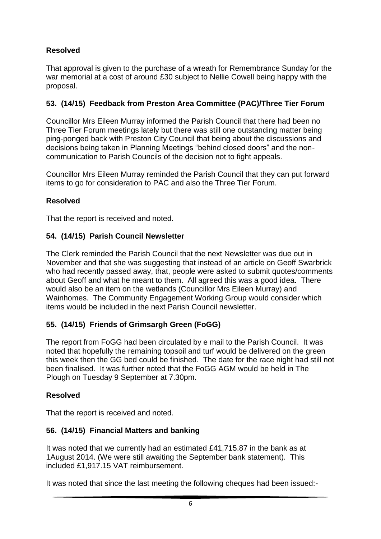# **Resolved**

That approval is given to the purchase of a wreath for Remembrance Sunday for the war memorial at a cost of around £30 subject to Nellie Cowell being happy with the proposal.

# **53. (14/15) Feedback from Preston Area Committee (PAC)/Three Tier Forum**

Councillor Mrs Eileen Murray informed the Parish Council that there had been no Three Tier Forum meetings lately but there was still one outstanding matter being ping-ponged back with Preston City Council that being about the discussions and decisions being taken in Planning Meetings "behind closed doors" and the noncommunication to Parish Councils of the decision not to fight appeals.

Councillor Mrs Eileen Murray reminded the Parish Council that they can put forward items to go for consideration to PAC and also the Three Tier Forum.

### **Resolved**

That the report is received and noted.

### **54. (14/15) Parish Council Newsletter**

The Clerk reminded the Parish Council that the next Newsletter was due out in November and that she was suggesting that instead of an article on Geoff Swarbrick who had recently passed away, that, people were asked to submit quotes/comments about Geoff and what he meant to them. All agreed this was a good idea. There would also be an item on the wetlands (Councillor Mrs Eileen Murray) and Wainhomes. The Community Engagement Working Group would consider which items would be included in the next Parish Council newsletter.

# **55. (14/15) Friends of Grimsargh Green (FoGG)**

The report from FoGG had been circulated by e mail to the Parish Council. It was noted that hopefully the remaining topsoil and turf would be delivered on the green this week then the GG bed could be finished. The date for the race night had still not been finalised. It was further noted that the FoGG AGM would be held in The Plough on Tuesday 9 September at 7.30pm.

# **Resolved**

That the report is received and noted.

# **56. (14/15) Financial Matters and banking**

It was noted that we currently had an estimated £41,715.87 in the bank as at 1August 2014. (We were still awaiting the September bank statement). This included £1,917.15 VAT reimbursement.

It was noted that since the last meeting the following cheques had been issued:-